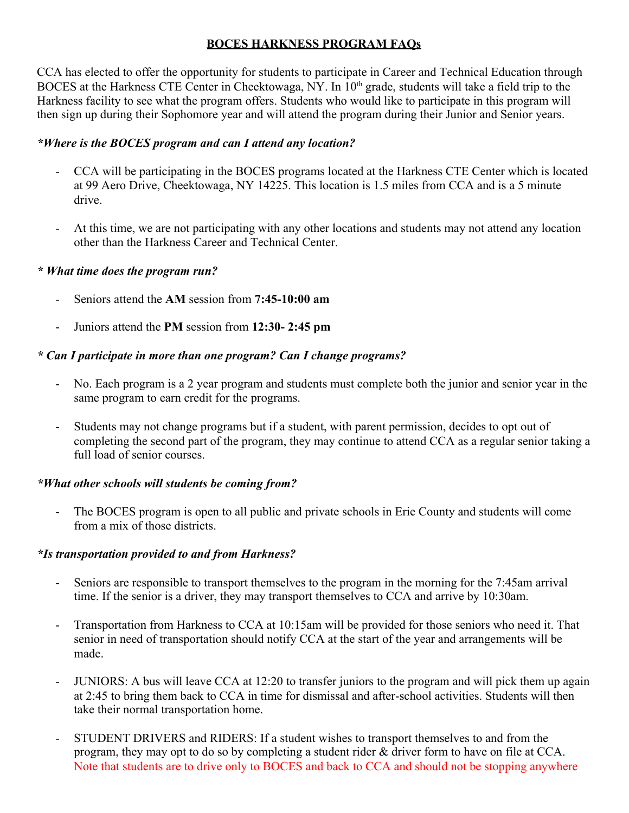### **BOCES HARKNESS PROGRAM FAQs**

CCA has elected to offer the opportunity for students to participate in Career and Technical Education through BOCES at the Harkness CTE Center in Cheektowaga, NY. In 10<sup>th</sup> grade, students will take a field trip to the Harkness facility to see what the program offers. Students who would like to participate in this program will then sign up during their Sophomore year and will attend the program during their Junior and Senior years.

### *\*Where is the BOCES program and can I attend any location?*

- CCA will be participating in the BOCES programs located at the Harkness CTE Center which is located at 99 Aero Drive, Cheektowaga, NY 14225. This location is 1.5 miles from CCA and is a 5 minute drive.
- At this time, we are not participating with any other locations and students may not attend any location other than the Harkness Career and Technical Center.

### *\* What time does the program run?*

- Seniors attend the **AM** session from **7:45-10:00 am**
- Juniors attend the **PM** session from **12:30- 2:45 pm**

## *\* Can I participate in more than one program? Can I change programs?*

- No. Each program is a 2 year program and students must complete both the junior and senior year in the same program to earn credit for the programs.
- Students may not change programs but if a student, with parent permission, decides to opt out of completing the second part of the program, they may continue to attend CCA as a regular senior taking a full load of senior courses.

#### *\*What other schools will students be coming from?*

- The BOCES program is open to all public and private schools in Erie County and students will come from a mix of those districts.

#### *\*Is transportation provided to and from Harkness?*

- Seniors are responsible to transport themselves to the program in the morning for the 7:45am arrival time. If the senior is a driver, they may transport themselves to CCA and arrive by 10:30am.
- Transportation from Harkness to CCA at 10:15am will be provided for those seniors who need it. That senior in need of transportation should notify CCA at the start of the year and arrangements will be made.
- JUNIORS: A bus will leave CCA at 12:20 to transfer juniors to the program and will pick them up again at 2:45 to bring them back to CCA in time for dismissal and after-school activities. Students will then take their normal transportation home.
- STUDENT DRIVERS and RIDERS: If a student wishes to transport themselves to and from the program, they may opt to do so by completing a student rider & driver form to have on file at CCA. Note that students are to drive only to BOCES and back to CCA and should not be stopping anywhere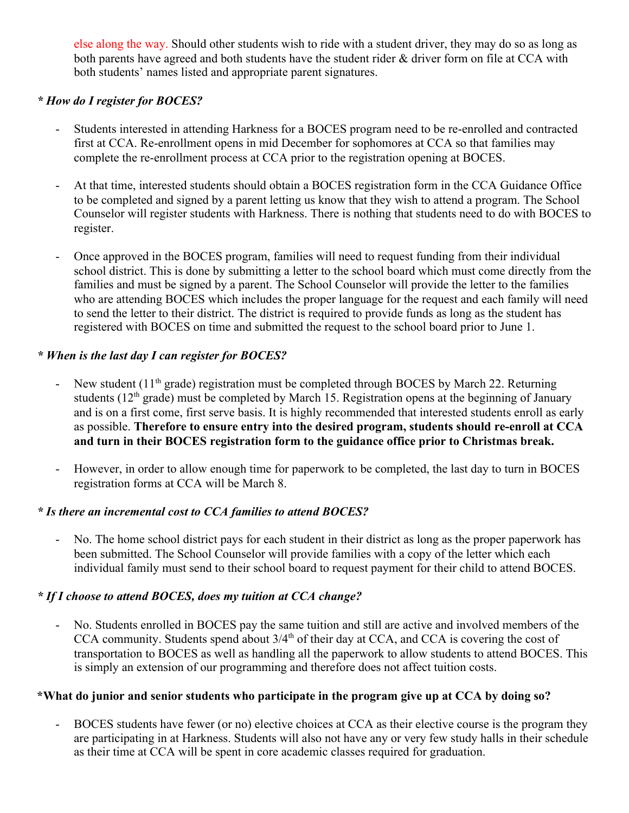else along the way. Should other students wish to ride with a student driver, they may do so as long as both parents have agreed and both students have the student rider & driver form on file at CCA with both students' names listed and appropriate parent signatures.

### *\* How do I register for BOCES?*

- Students interested in attending Harkness for a BOCES program need to be re-enrolled and contracted first at CCA. Re-enrollment opens in mid December for sophomores at CCA so that families may complete the re-enrollment process at CCA prior to the registration opening at BOCES.
- At that time, interested students should obtain a BOCES registration form in the CCA Guidance Office to be completed and signed by a parent letting us know that they wish to attend a program. The School Counselor will register students with Harkness. There is nothing that students need to do with BOCES to register.
- Once approved in the BOCES program, families will need to request funding from their individual school district. This is done by submitting a letter to the school board which must come directly from the families and must be signed by a parent. The School Counselor will provide the letter to the families who are attending BOCES which includes the proper language for the request and each family will need to send the letter to their district. The district is required to provide funds as long as the student has registered with BOCES on time and submitted the request to the school board prior to June 1.

## *\* When is the last day I can register for BOCES?*

- New student  $(11<sup>th</sup> \text{ grade})$  registration must be completed through BOCES by March 22. Returning students ( $12<sup>th</sup>$  grade) must be completed by March 15. Registration opens at the beginning of January and is on a first come, first serve basis. It is highly recommended that interested students enroll as early as possible. **Therefore to ensure entry into the desired program, students should re-enroll at CCA and turn in their BOCES registration form to the guidance office prior to Christmas break.**
- However, in order to allow enough time for paperwork to be completed, the last day to turn in BOCES registration forms at CCA will be March 8.

#### *\* Is there an incremental cost to CCA families to attend BOCES?*

- No. The home school district pays for each student in their district as long as the proper paperwork has been submitted. The School Counselor will provide families with a copy of the letter which each individual family must send to their school board to request payment for their child to attend BOCES.

## *\* If I choose to attend BOCES, does my tuition at CCA change?*

- No. Students enrolled in BOCES pay the same tuition and still are active and involved members of the CCA community. Students spend about  $3/4<sup>th</sup>$  of their day at CCA, and CCA is covering the cost of transportation to BOCES as well as handling all the paperwork to allow students to attend BOCES. This is simply an extension of our programming and therefore does not affect tuition costs.

#### **\*What do junior and senior students who participate in the program give up at CCA by doing so?**

- BOCES students have fewer (or no) elective choices at CCA as their elective course is the program they are participating in at Harkness. Students will also not have any or very few study halls in their schedule as their time at CCA will be spent in core academic classes required for graduation.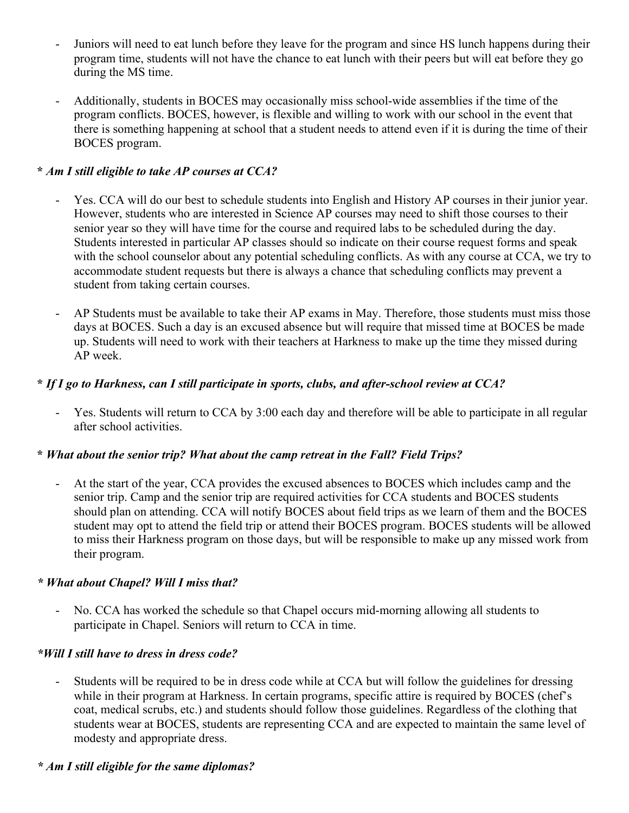- Juniors will need to eat lunch before they leave for the program and since HS lunch happens during their program time, students will not have the chance to eat lunch with their peers but will eat before they go during the MS time.
- Additionally, students in BOCES may occasionally miss school-wide assemblies if the time of the program conflicts. BOCES, however, is flexible and willing to work with our school in the event that there is something happening at school that a student needs to attend even if it is during the time of their BOCES program.

## **\*** *Am I still eligible to take AP courses at CCA?*

- Yes. CCA will do our best to schedule students into English and History AP courses in their junior year. However, students who are interested in Science AP courses may need to shift those courses to their senior year so they will have time for the course and required labs to be scheduled during the day. Students interested in particular AP classes should so indicate on their course request forms and speak with the school counselor about any potential scheduling conflicts. As with any course at CCA, we try to accommodate student requests but there is always a chance that scheduling conflicts may prevent a student from taking certain courses.
- AP Students must be available to take their AP exams in May. Therefore, those students must miss those days at BOCES. Such a day is an excused absence but will require that missed time at BOCES be made up. Students will need to work with their teachers at Harkness to make up the time they missed during AP week.

# **\*** *If I go to Harkness, can I still participate in sports, clubs, and after-school review at CCA?*

Yes. Students will return to CCA by 3:00 each day and therefore will be able to participate in all regular after school activities.

## **\*** *What about the senior trip? What about the camp retreat in the Fall? Field Trips?*

At the start of the year, CCA provides the excused absences to BOCES which includes camp and the senior trip. Camp and the senior trip are required activities for CCA students and BOCES students should plan on attending. CCA will notify BOCES about field trips as we learn of them and the BOCES student may opt to attend the field trip or attend their BOCES program. BOCES students will be allowed to miss their Harkness program on those days, but will be responsible to make up any missed work from their program.

## *\* What about Chapel? Will I miss that?*

- No. CCA has worked the schedule so that Chapel occurs mid-morning allowing all students to participate in Chapel. Seniors will return to CCA in time.

## *\*Will I still have to dress in dress code?*

Students will be required to be in dress code while at CCA but will follow the guidelines for dressing while in their program at Harkness. In certain programs, specific attire is required by BOCES (chef's coat, medical scrubs, etc.) and students should follow those guidelines. Regardless of the clothing that students wear at BOCES, students are representing CCA and are expected to maintain the same level of modesty and appropriate dress.

## *\* Am I still eligible for the same diplomas?*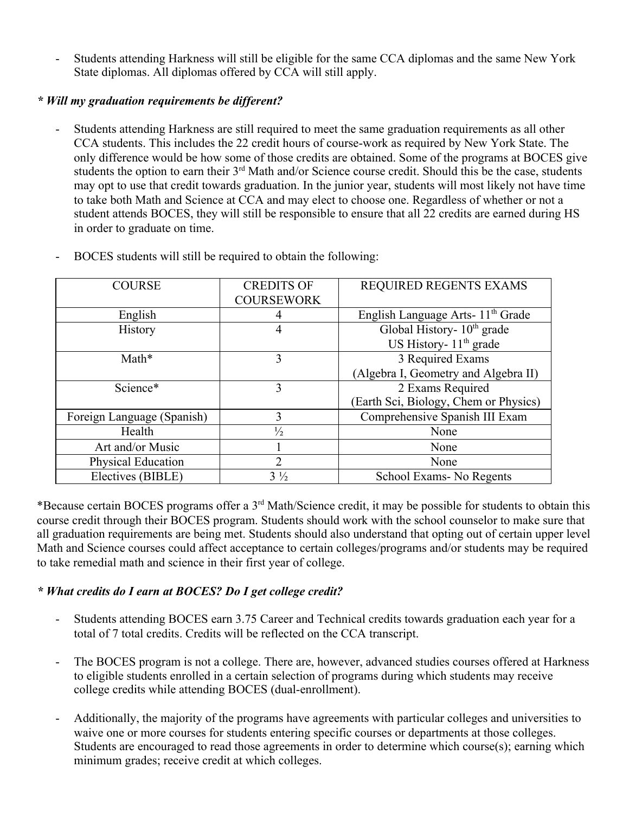- Students attending Harkness will still be eligible for the same CCA diplomas and the same New York State diplomas. All diplomas offered by CCA will still apply.

### *\* Will my graduation requirements be different?*

- Students attending Harkness are still required to meet the same graduation requirements as all other CCA students. This includes the 22 credit hours of course-work as required by New York State. The only difference would be how some of those credits are obtained. Some of the programs at BOCES give students the option to earn their 3<sup>rd</sup> Math and/or Science course credit. Should this be the case, students may opt to use that credit towards graduation. In the junior year, students will most likely not have time to take both Math and Science at CCA and may elect to choose one. Regardless of whether or not a student attends BOCES, they will still be responsible to ensure that all 22 credits are earned during HS in order to graduate on time.

| <b>COURSE</b>              | <b>CREDITS OF</b> | REQUIRED REGENTS EXAMS                        |
|----------------------------|-------------------|-----------------------------------------------|
|                            | <b>COURSEWORK</b> |                                               |
| English                    | 4                 | English Language Arts- 11 <sup>th</sup> Grade |
| <b>History</b>             | 4                 | Global History- 10 <sup>th</sup> grade        |
|                            |                   | US History- $11th$ grade                      |
| Math*                      | 3                 | 3 Required Exams                              |
|                            |                   | (Algebra I, Geometry and Algebra II)          |
| Science*                   | 3                 | 2 Exams Required                              |
|                            |                   | (Earth Sci, Biology, Chem or Physics)         |
| Foreign Language (Spanish) | 3                 | Comprehensive Spanish III Exam                |
| Health                     | $\frac{1}{2}$     | None                                          |
| Art and/or Music           |                   | None                                          |
| Physical Education         | $\overline{2}$    | None                                          |
| Electives (BIBLE)          | $3\frac{1}{2}$    | School Exams - No Regents                     |
|                            |                   |                                               |

- BOCES students will still be required to obtain the following:

\*Because certain BOCES programs offer a 3rd Math/Science credit, it may be possible for students to obtain this course credit through their BOCES program. Students should work with the school counselor to make sure that all graduation requirements are being met. Students should also understand that opting out of certain upper level Math and Science courses could affect acceptance to certain colleges/programs and/or students may be required to take remedial math and science in their first year of college.

#### *\* What credits do I earn at BOCES? Do I get college credit?*

- Students attending BOCES earn 3.75 Career and Technical credits towards graduation each year for a total of 7 total credits. Credits will be reflected on the CCA transcript.
- The BOCES program is not a college. There are, however, advanced studies courses offered at Harkness to eligible students enrolled in a certain selection of programs during which students may receive college credits while attending BOCES (dual-enrollment).
- Additionally, the majority of the programs have agreements with particular colleges and universities to waive one or more courses for students entering specific courses or departments at those colleges. Students are encouraged to read those agreements in order to determine which course(s); earning which minimum grades; receive credit at which colleges.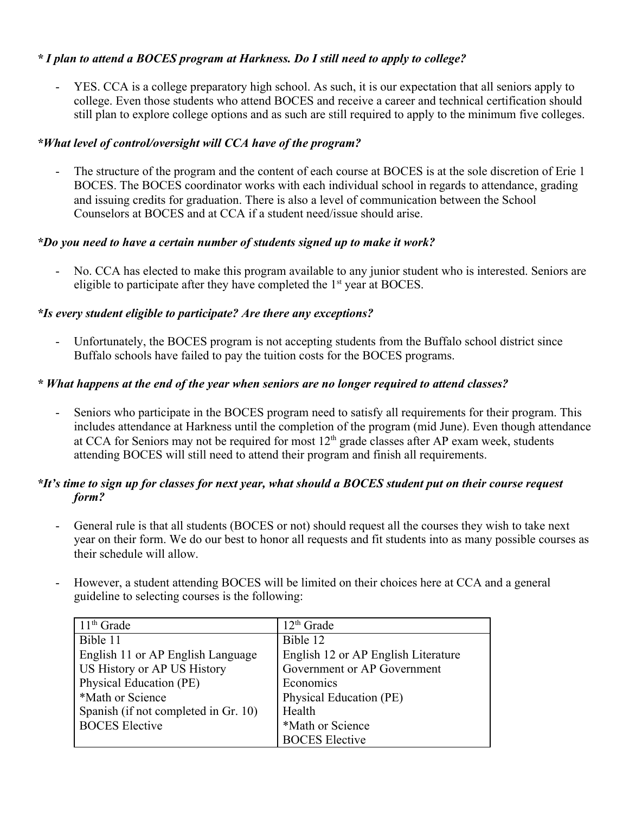### *\* I plan to attend a BOCES program at Harkness. Do I still need to apply to college?*

YES. CCA is a college preparatory high school. As such, it is our expectation that all seniors apply to college. Even those students who attend BOCES and receive a career and technical certification should still plan to explore college options and as such are still required to apply to the minimum five colleges.

#### *\*What level of control/oversight will CCA have of the program?*

The structure of the program and the content of each course at BOCES is at the sole discretion of Erie 1 BOCES. The BOCES coordinator works with each individual school in regards to attendance, grading and issuing credits for graduation. There is also a level of communication between the School Counselors at BOCES and at CCA if a student need/issue should arise.

#### *\*Do you need to have a certain number of students signed up to make it work?*

No. CCA has elected to make this program available to any junior student who is interested. Seniors are eligible to participate after they have completed the  $1<sup>st</sup>$  year at BOCES.

### *\*Is every student eligible to participate? Are there any exceptions?*

- Unfortunately, the BOCES program is not accepting students from the Buffalo school district since Buffalo schools have failed to pay the tuition costs for the BOCES programs.

### *\* What happens at the end of the year when seniors are no longer required to attend classes?*

Seniors who participate in the BOCES program need to satisfy all requirements for their program. This includes attendance at Harkness until the completion of the program (mid June). Even though attendance at CCA for Seniors may not be required for most  $12<sup>th</sup>$  grade classes after AP exam week, students attending BOCES will still need to attend their program and finish all requirements.

### *\*It's time to sign up for classes for next year, what should a BOCES student put on their course request form?*

- General rule is that all students (BOCES or not) should request all the courses they wish to take next year on their form. We do our best to honor all requests and fit students into as many possible courses as their schedule will allow.
- However, a student attending BOCES will be limited on their choices here at CCA and a general guideline to selecting courses is the following:

| $11th$ Grade                         | $12th$ Grade                        |  |
|--------------------------------------|-------------------------------------|--|
| Bible 11                             | Bible 12                            |  |
| English 11 or AP English Language    | English 12 or AP English Literature |  |
| US History or AP US History          | Government or AP Government         |  |
| Physical Education (PE)              | Economics                           |  |
| *Math or Science                     | Physical Education (PE)             |  |
| Spanish (if not completed in Gr. 10) | Health                              |  |
| <b>BOCES</b> Elective                | *Math or Science                    |  |
|                                      | <b>BOCES</b> Elective               |  |